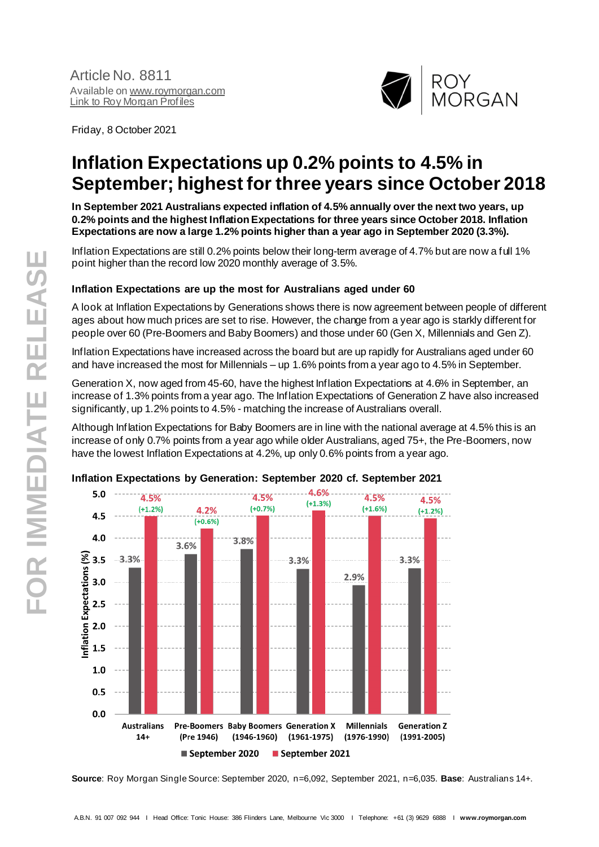

Friday, 8 October 2021

# **Inflation Expectations up 0.2% points to 4.5% in September; highest for three years since October 2018**

**In September 2021 Australians expected inflation of 4.5% annually over the next two years, up 0.2% points and the highest Inflation Expectations for three years since October 2018. Inflation Expectations are now a large 1.2% points higher than a year ago in September 2020 (3.3%).**

Inflation Expectations are still 0.2% points below their long-term average of 4.7% but are now a full 1% point higher than the record low 2020 monthly average of 3.5%.

## **Inflation Expectations are up the most for Australians aged under 60**

A look at Inflation Expectations by Generations shows there is now agreement between people of different ages about how much prices are set to rise. However, the change from a year ago is starkly different for people over 60 (Pre-Boomers and Baby Boomers) and those under 60 (Gen X, Millennials and Gen Z).

Inflation Expectations have increased across the board but are up rapidly for Australians aged under 60 and have increased the most for Millennials – up 1.6% points from a year ago to 4.5% in September.

Generation X, now aged from 45-60, have the highest Inflation Expectations at 4.6% in September, an increase of 1.3% points from a year ago. The Inflation Expectations of Generation Z have also increased significantly, up 1.2% points to 4.5% - matching the increase of Australians overall.

Although Inflation Expectations for Baby Boomers are in line with the national average at 4.5% this is an increase of only 0.7% points from a year ago while older Australians, aged 75+, the Pre-Boomers, now have the lowest Inflation Expectations at 4.2%, up only 0.6% points from a year ago.



#### **Inflation Expectations by Generation: September 2020 cf. September 2021**

**Source**: Roy Morgan Single Source: September 2020, n=6,092, September 2021, n=6,035. **Base**: Australians 14+.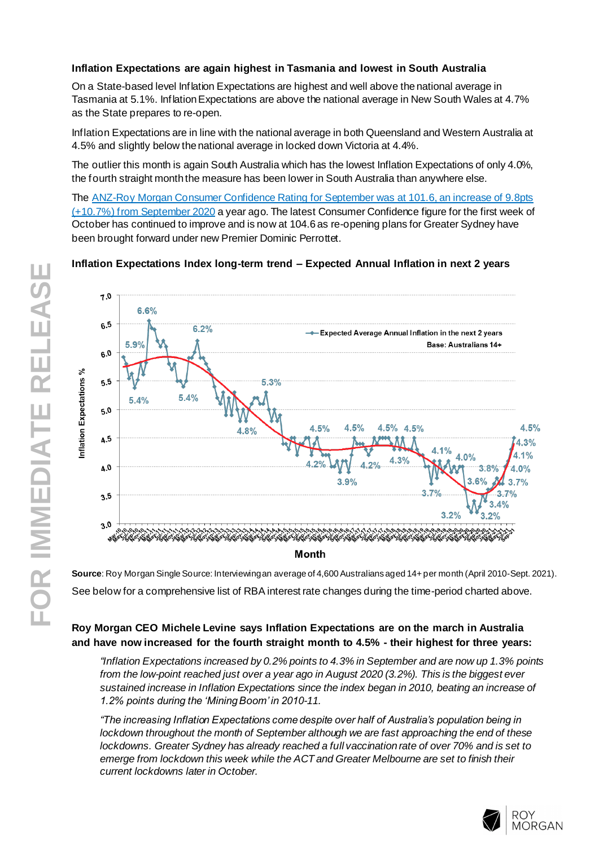## **Inflation Expectations are again highest in Tasmania and lowest in South Australia**

On a State-based level Inflation Expectations are highest and well above the national average in Tasmania at 5.1%. Inflation Expectations are above the national average in New South Wales at 4.7% as the State prepares to re-open.

Inflation Expectations are in line with the national average in both Queensland and Western Australia at 4.5% and slightly below the national average in locked down Victoria at 4.4%.

The outlier this month is again South Australia which has the lowest Inflation Expectations of only 4.0%, the fourth straight month the measure has been lower in South Australia than anywhere else.

The [ANZ-Roy Morgan Consumer Confidence Rating](http://www.roymorgan.com/morganpoll/consumer-confidence/consumer-monthly-results) for September was at 101.6, an increase of 9.8pts [\(+10.7%\) from September](http://www.roymorgan.com/morganpoll/consumer-confidence/consumer-monthly-results) 2020 a year ago. The latest Consumer Confidence figure for the first week of October has continued to improve and is now at 104.6 as re-opening plans for Greater Sydney have been brought forward under new Premier Dominic Perrottet.

# **Inflation Expectations Index long-term trend – Expected Annual Inflation in next 2 years**



**Source**: Roy Morgan Single Source: Interviewingan average of 4,600 Australians aged 14+ per month (April 2010-Sept. 2021). See below for a comprehensive list of RBA interest rate changes during the time-period charted above.

# **Roy Morgan CEO Michele Levine says Inflation Expectations are on the march in Australia and have now increased for the fourth straight month to 4.5% - their highest for three years:**

*"Inflation Expectations increased by 0.2% points to 4.3% in September and are now up 1.3% points from the low-point reached just over a year ago in August 2020 (3.2%). This is the biggest ever sustained increase in Inflation Expectations since the index began in 2010, beating an increase of 1.2% points during the 'Mining Boom' in 2010-11.*

*"The increasing Inflation Expectations come despite over half of Australia's population being in lockdown throughout the month of September although we are fast approaching the end of these lockdowns. Greater Sydney has already reached a full vaccination rate of over 70% and is set to emerge from lockdown this week while the ACT and Greater Melbourne are set to finish their current lockdowns later in October.*

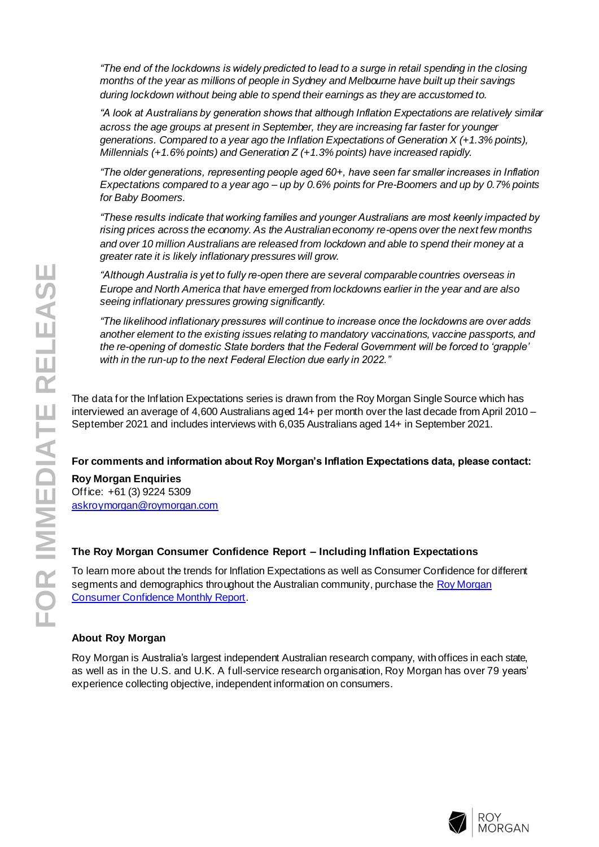*"The end of the lockdowns is widely predicted to lead to a surge in retail spending in the closing months of the year as millions of people in Sydney and Melbourne have built up their savings during lockdown without being able to spend their earnings as they are accustomed to.*

*"A look at Australians by generation shows that although Inflation Expectations are relatively similar across the age groups at present in September, they are increasing far faster for younger generations. Compared to a year ago the Inflation Expectations of Generation X (+1.3% points), Millennials (+1.6% points) and Generation Z (+1.3% points) have increased rapidly.*

*"The older generations, representing people aged 60+, have seen far smaller increases in Inflation Expectations compared to a year ago – up by 0.6% points for Pre-Boomers and up by 0.7% points for Baby Boomers.*

*"These results indicate that working families and younger Australians are most keenly impacted by rising prices across the economy. As the Australian economy re-opens over the next few months and over 10 million Australians are released from lockdown and able to spend their money at a greater rate it is likely inflationary pressures will grow.*

*"Although Australia is yet to fully re-open there are several comparable countries overseas in Europe and North America that have emerged from lockdowns earlier in the year and are also seeing inflationary pressures growing significantly.*

*"The likelihood inflationary pressures will continue to increase once the lockdowns are over adds another element to the existing issues relating to mandatory vaccinations, vaccine passports, and the re-opening of domestic State borders that the Federal Government will be forced to 'grapple' with in the run-up to the next Federal Election due early in 2022."*

The data for the Inflation Expectations series is drawn from the Roy Morgan Single Source which has interviewed an average of 4,600 Australians aged 14+ per month over the last decade from April 2010 – September 2021 and includes interviews with 6,035 Australians aged 14+ in September 2021.

## **For comments and information about Roy Morgan's Inflation Expectations data, please contact:**

**Roy Morgan Enquiries** Office: +61 (3) 9224 5309 [askroymorgan@roymorgan.com](mailto:askroymorgan@roymorgan.com)

#### **The Roy Morgan Consumer Confidence Report – Including Inflation Expectations**

To learn more about the trends for Inflation Expectations as well as Consumer Confidence for different segments and demographics throughout the Australian community, purchase the Roy Morgan [Consumer Confidence Monthly Report](about:blank).

#### **About Roy Morgan**

Roy Morgan is Australia's largest independent Australian research company, with offices in each state, as well as in the U.S. and U.K. A full-service research organisation, Roy Morgan has over 79 years' experience collecting objective, independent information on consumers.

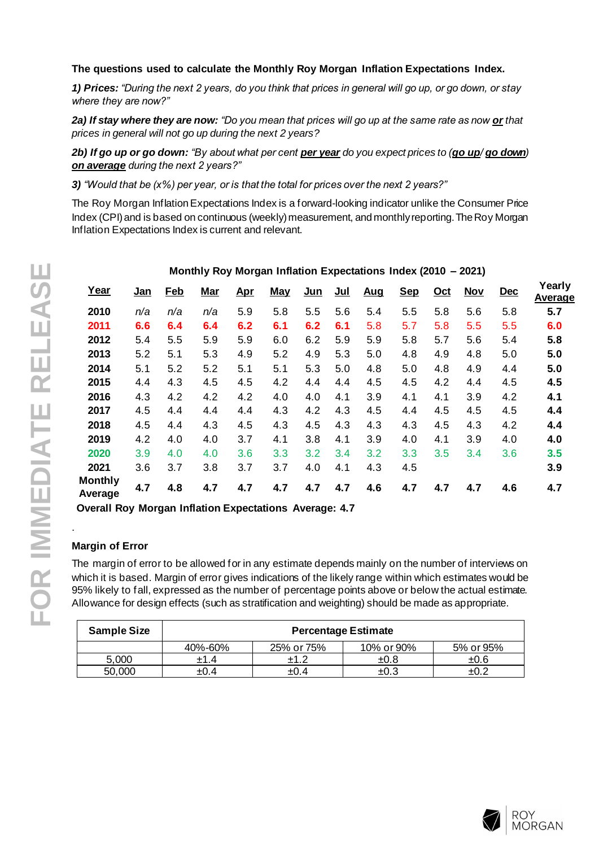## **The questions used to calculate the Monthly Roy Morgan Inflation Expectations Index.**

*1) Prices: "During the next 2 years, do you think that prices in general will go up, or go down, or stay where they are now?"*

*2a) If stay where they are now: "Do you mean that prices will go up at the same rate as now or that prices in general will not go up during the next 2 years?*

*2b) If go up or go down: "By about what per cent per year do you expect prices to (go up/ go down) on average during the next 2 years?"*

*3) "Would that be (x%) per year, or is that the total for prices over the next 2 years?"*

The Roy Morgan Inflation Expectations Index is a forward-looking indicator unlike the Consumer Price Index (CPI) and is based on continuous (weekly) measurement, and monthly reporting. The Roy Morgan Inflation Expectations Index is current and relevant.

|                           |            |            |            | Ð          |            |       |       |            |            |            |            |            |                   |
|---------------------------|------------|------------|------------|------------|------------|-------|-------|------------|------------|------------|------------|------------|-------------------|
| Year                      | <u>Jan</u> | <b>Feb</b> | <u>Mar</u> | <u>Apr</u> | <b>May</b> | $Jun$ | $Jul$ | <u>Aug</u> | <b>Sep</b> | <u>Oct</u> | <b>Nov</b> | <b>Dec</b> | Yearly<br>Average |
| 2010                      | n/a        | n/a        | n/a        | 5.9        | 5.8        | 5.5   | 5.6   | 5.4        | 5.5        | 5.8        | 5.6        | 5.8        | 5.7               |
| 2011                      | 6.6        | 6.4        | 6.4        | 6.2        | 6.1        | 6.2   | 6.1   | 5.8        | 5.7        | 5.8        | 5.5        | 5.5        | 6.0               |
| 2012                      | 5.4        | 5.5        | 5.9        | 5.9        | 6.0        | 6.2   | 5.9   | 5.9        | 5.8        | 5.7        | 5.6        | 5.4        | 5.8               |
| 2013                      | 5.2        | 5.1        | 5.3        | 4.9        | 5.2        | 4.9   | 5.3   | 5.0        | 4.8        | 4.9        | 4.8        | 5.0        | 5.0               |
| 2014                      | 5.1        | 5.2        | 5.2        | 5.1        | 5.1        | 5.3   | 5.0   | 4.8        | 5.0        | 4.8        | 4.9        | 4.4        | 5.0               |
| 2015                      | 4.4        | 4.3        | 4.5        | 4.5        | 4.2        | 4.4   | 4.4   | 4.5        | 4.5        | 4.2        | 4.4        | 4.5        | 4.5               |
| 2016                      | 4.3        | 4.2        | 4.2        | 4.2        | 4.0        | 4.0   | 4.1   | 3.9        | 4.1        | 4.1        | 3.9        | 4.2        | 4.1               |
| 2017                      | 4.5        | 4.4        | 4.4        | 4.4        | 4.3        | 4.2   | 4.3   | 4.5        | 4.4        | 4.5        | 4.5        | 4.5        | 4.4               |
| 2018                      | 4.5        | 4.4        | 4.3        | 4.5        | 4.3        | 4.5   | 4.3   | 4.3        | 4.3        | 4.5        | 4.3        | 4.2        | 4.4               |
| 2019                      | 4.2        | 4.0        | 4.0        | 3.7        | 4.1        | 3.8   | 4.1   | 3.9        | 4.0        | 4.1        | 3.9        | 4.0        | 4.0               |
| 2020                      | 3.9        | 4.0        | 4.0        | 3.6        | 3.3        | 3.2   | 3.4   | 3.2        | 3.3        | 3.5        | 3.4        | 3.6        | 3.5               |
| 2021                      | 3.6        | 3.7        | 3.8        | 3.7        | 3.7        | 4.0   | 4.1   | 4.3        | 4.5        |            |            |            | 3.9               |
| <b>Monthly</b><br>Average | 4.7        | 4.8        | 4.7        | 4.7        | 4.7        | 4.7   | 4.7   | 4.6        | 4.7        | 4.7        | 4.7        | 4.6        | 4.7               |
|                           |            |            |            |            |            |       |       |            |            |            |            |            |                   |

#### **Monthly Roy Morgan Inflation Expectations Index (2010 – 2021)**

**Overall Roy Morgan Inflation Expectations Average: 4.7**

## **Margin of Error**

.

The margin of error to be allowed for in any estimate depends mainly on the number of interviews on which it is based. Margin of error gives indications of the likely range within which estimates would be 95% likely to fall, expressed as the number of percentage points above or below the actual estimate. Allowance for design effects (such as stratification and weighting) should be made as appropriate.

| <b>Sample Size</b> | <b>Percentage Estimate</b> |            |            |                    |  |  |  |  |  |
|--------------------|----------------------------|------------|------------|--------------------|--|--|--|--|--|
|                    | 40%-60%                    | 25% or 75% | 10% or 90% | 5% or 95%          |  |  |  |  |  |
| 5.000              | ±1.4                       |            | ±0.8       | ±0.6               |  |  |  |  |  |
| 50.000             | +0.4                       | ±0.4       | $\pm 0.3$  | $\pm 0.$ $\hat{ }$ |  |  |  |  |  |